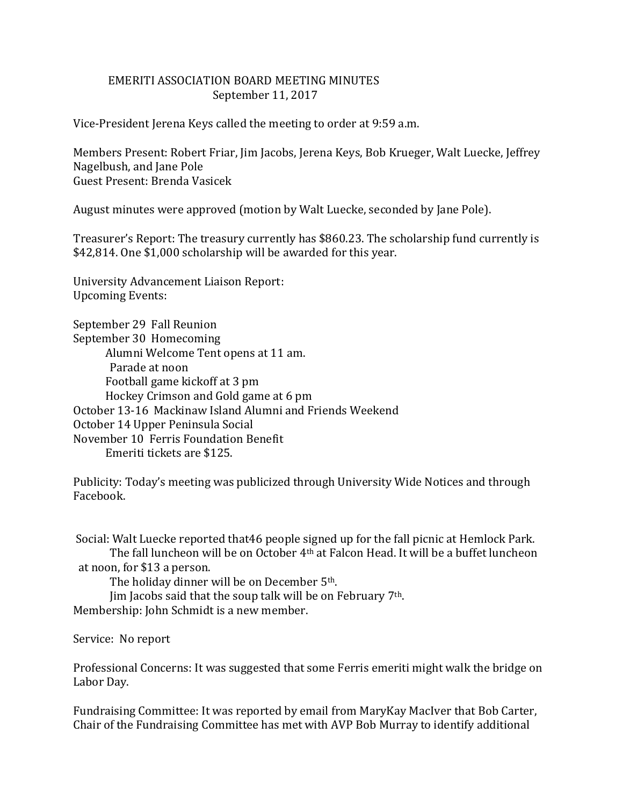## EMERITI ASSOCIATION BOARD MEETING MINUTES September 11, 2017

Vice-President Jerena Keys called the meeting to order at 9:59 a.m.

Members Present: Robert Friar, Jim Jacobs, Jerena Keys, Bob Krueger, Walt Luecke, Jeffrey Nagelbush, and Jane Pole Guest Present: Brenda Vasicek

August minutes were approved (motion by Walt Luecke, seconded by Jane Pole).

Treasurer's Report: The treasury currently has \$860.23. The scholarship fund currently is \$42,814. One \$1,000 scholarship will be awarded for this year.

University Advancement Liaison Report: Upcoming Events:

September 29 Fall Reunion September 30 Homecoming Alumni Welcome Tent opens at 11 am. Parade at noon Football game kickoff at 3 pm Hockey Crimson and Gold game at 6 pm October 13-16 Mackinaw Island Alumni and Friends Weekend October 14 Upper Peninsula Social November 10 Ferris Foundation Benefit Emeriti tickets are \$125.

Publicity: Today's meeting was publicized through University Wide Notices and through Facebook.

Social: Walt Luecke reported that46 people signed up for the fall picnic at Hemlock Park. The fall luncheon will be on October 4th at Falcon Head. It will be a buffet luncheon at noon, for \$13 a person.

The holiday dinner will be on December 5th.

Jim Jacobs said that the soup talk will be on February 7th.

Membership: John Schmidt is a new member.

Service: No report

Professional Concerns: It was suggested that some Ferris emeriti might walk the bridge on Labor Day.

Fundraising Committee: It was reported by email from MaryKay MacIver that Bob Carter, Chair of the Fundraising Committee has met with AVP Bob Murray to identify additional